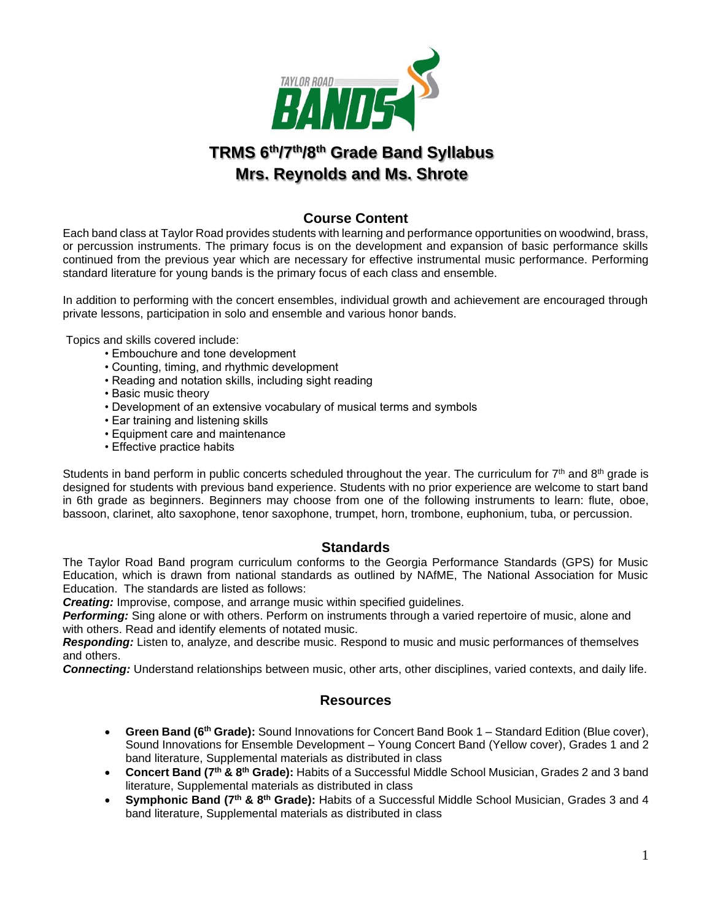

# **TRMS 6 th/7th/8th Grade Band Syllabus Mrs. Reynolds and Ms. Shrote**

# **Course Content**

Each band class at Taylor Road provides students with learning and performance opportunities on woodwind, brass, or percussion instruments. The primary focus is on the development and expansion of basic performance skills continued from the previous year which are necessary for effective instrumental music performance. Performing standard literature for young bands is the primary focus of each class and ensemble.

In addition to performing with the concert ensembles, individual growth and achievement are encouraged through private lessons, participation in solo and ensemble and various honor bands.

Topics and skills covered include:

- Embouchure and tone development
- Counting, timing, and rhythmic development
- Reading and notation skills, including sight reading
- Basic music theory
- Development of an extensive vocabulary of musical terms and symbols
- Ear training and listening skills
- Equipment care and maintenance
- Effective practice habits

Students in band perform in public concerts scheduled throughout the year. The curriculum for 7<sup>th</sup> and 8<sup>th</sup> grade is designed for students with previous band experience. Students with no prior experience are welcome to start band in 6th grade as beginners. Beginners may choose from one of the following instruments to learn: flute, oboe, bassoon, clarinet, alto saxophone, tenor saxophone, trumpet, horn, trombone, euphonium, tuba, or percussion.

## **Standards**

The Taylor Road Band program curriculum conforms to the Georgia Performance Standards (GPS) for Music Education, which is drawn from national standards as outlined by NAfME, The National Association for Music Education. The standards are listed as follows:

*Creating:* Improvise, compose, and arrange music within specified guidelines.

*Performing:* Sing alone or with others. Perform on instruments through a varied repertoire of music, alone and with others. Read and identify elements of notated music.

*Responding:* Listen to, analyze, and describe music. Respond to music and music performances of themselves and others.

*Connecting:* Understand relationships between music, other arts, other disciplines, varied contexts, and daily life.

## **Resources**

- **Green Band (6th Grade):** Sound Innovations for Concert Band Book 1 Standard Edition (Blue cover), Sound Innovations for Ensemble Development – Young Concert Band (Yellow cover), Grades 1 and 2 band literature, Supplemental materials as distributed in class
- **Concert Band (7th & 8th Grade):** Habits of a Successful Middle School Musician, Grades 2 and 3 band literature, Supplemental materials as distributed in class
- **Symphonic Band (7th & 8th Grade):** Habits of a Successful Middle School Musician, Grades 3 and 4 band literature, Supplemental materials as distributed in class